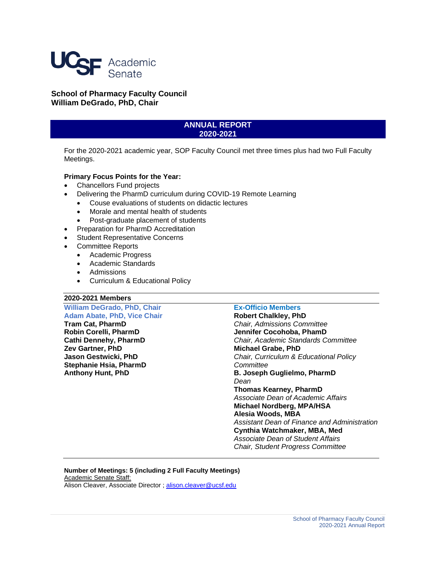

**School of Pharmacy Faculty Council William DeGrado, PhD, Chair**

# **ANNUAL REPORT 2020-2021**

For the 2020-2021 academic year, SOP Faculty Council met three times plus had two Full Faculty Meetings.

## **Primary Focus Points for the Year:**

- Chancellors Fund projects
- Delivering the PharmD curriculum during COVID-19 Remote Learning
	- Couse evaluations of students on didactic lectures
	- Morale and mental health of students
	- Post-graduate placement of students
- Preparation for PharmD Accreditation
- Student Representative Concerns
- Committee Reports
	- Academic Progress
	- Academic Standards
	- Admissions
	- Curriculum & Educational Policy

### **2020-2021 Members**

**William DeGrado, PhD, Chair Adam Abate, PhD, Vice Chair Tram Cat, PharmD Robin Corelli, PharmD Cathi Dennehy, PharmD Zev Gartner, PhD Jason Gestwicki, PhD Stephanie Hsia, PharmD Anthony Hunt, PhD**

## **Ex-Officio Members**

**Robert Chalkley, PhD** *Chair, Admissions Committee* **Jennifer Cocohoba, PhamD** *Chair, Academic Standards Committee* **Michael Grabe, PhD** *Chair, Curriculum & Educational Policy Committee* **B. Joseph Guglielmo, PharmD** *Dean* **Thomas Kearney, PharmD** *Associate Dean of Academic Affairs* **Michael Nordberg, MPA/HSA Alesia Woods, MBA** *Assistant Dean of Finance and Administration* **Cynthia Watchmaker, MBA, Med** *Associate Dean of Student Affairs Chair, Student Progress Committee*

**Number of Meetings: 5 (including 2 Full Faculty Meetings)** Academic Senate Staff: Alison Cleaver, Associate Director [; alison.cleaver@ucsf.edu](mailto:alison.cleaver@ucsf.edu)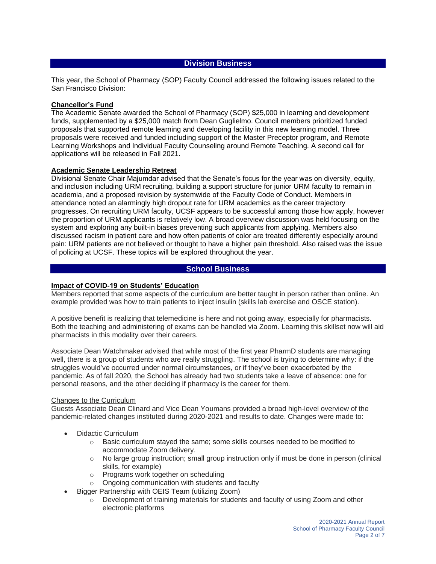# **Division Business**

This year, the School of Pharmacy (SOP) Faculty Council addressed the following issues related to the San Francisco Division:

#### **Chancellor's Fund**

The Academic Senate awarded the School of Pharmacy (SOP) \$25,000 in learning and development funds, supplemented by a \$25,000 match from Dean Guglielmo. Council members prioritized funded proposals that supported remote learning and developing facility in this new learning model. Three proposals were received and funded including support of the Master Preceptor program, and Remote Learning Workshops and Individual Faculty Counseling around Remote Teaching. A second call for applications will be released in Fall 2021.

#### **Academic Senate Leadership Retreat**

Divisional Senate Chair Majumdar advised that the Senate's focus for the year was on diversity, equity, and inclusion including URM recruiting, building a support structure for junior URM faculty to remain in academia, and a proposed revision by systemwide of the Faculty Code of Conduct. Members in attendance noted an alarmingly high dropout rate for URM academics as the career trajectory progresses. On recruiting URM faculty, UCSF appears to be successful among those how apply, however the proportion of URM applicants is relatively low. A broad overview discussion was held focusing on the system and exploring any built-in biases preventing such applicants from applying. Members also discussed racism in patient care and how often patients of color are treated differently especially around pain: URM patients are not believed or thought to have a higher pain threshold. Also raised was the issue of policing at UCSF. These topics will be explored throughout the year.

### **School Business**

### **Impact of COVID-19 on Students' Education**

Members reported that some aspects of the curriculum are better taught in person rather than online. An example provided was how to train patients to inject insulin (skills lab exercise and OSCE station).

A positive benefit is realizing that telemedicine is here and not going away, especially for pharmacists. Both the teaching and administering of exams can be handled via Zoom. Learning this skillset now will aid pharmacists in this modality over their careers.

Associate Dean Watchmaker advised that while most of the first year PharmD students are managing well, there is a group of students who are really struggling. The school is trying to determine why: if the struggles would've occurred under normal circumstances, or if they've been exacerbated by the pandemic. As of fall 2020, the School has already had two students take a leave of absence: one for personal reasons, and the other deciding if pharmacy is the career for them.

#### Changes to the Curriculum

Guests Associate Dean Clinard and Vice Dean Youmans provided a broad high-level overview of the pandemic-related changes instituted during 2020-2021 and results to date. Changes were made to:

- Didactic Curriculum
	- $\circ$  Basic curriculum stayed the same; some skills courses needed to be modified to accommodate Zoom delivery.
	- $\circ$  No large group instruction; small group instruction only if must be done in person (clinical skills, for example)
	- o Programs work together on scheduling
	- o Ongoing communication with students and faculty
- Bigger Partnership with OEIS Team (utilizing Zoom)
	- $\circ$  Development of training materials for students and faculty of using Zoom and other electronic platforms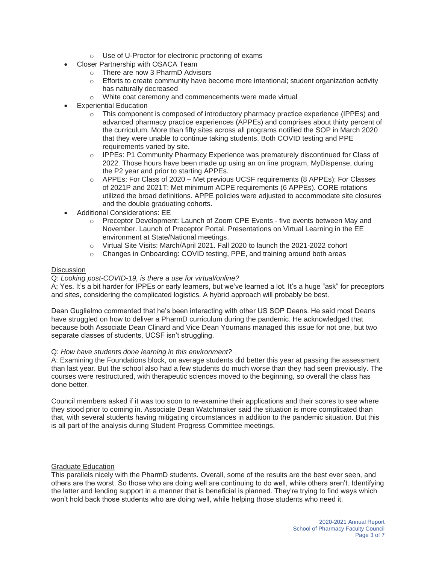- o Use of U-Proctor for electronic proctoring of exams
- Closer Partnership with OSACA Team
	- o There are now 3 PharmD Advisors
	- $\circ$  Efforts to create community have become more intentional; student organization activity has naturally decreased
	- o White coat ceremony and commencements were made virtual
- **Experiential Education** 
	- o This component is composed of introductory pharmacy practice experience (IPPEs) and advanced pharmacy practice experiences (APPEs) and comprises about thirty percent of the curriculum. More than fifty sites across all programs notified the SOP in March 2020 that they were unable to continue taking students. Both COVID testing and PPE requirements varied by site.
	- o IPPEs: P1 Community Pharmacy Experience was prematurely discontinued for Class of 2022. Those hours have been made up using an on line program, MyDispense, during the P2 year and prior to starting APPEs.
	- o APPEs: For Class of 2020 Met previous UCSF requirements (8 APPEs); For Classes of 2021P and 2021T: Met minimum ACPE requirements (6 APPEs). CORE rotations utilized the broad definitions. APPE policies were adjusted to accommodate site closures and the double graduating cohorts.
- Additional Considerations: EE
	- o Preceptor Development: Launch of Zoom CPE Events five events between May and November. Launch of Preceptor Portal. Presentations on Virtual Learning in the EE environment at State/National meetings.
	- o Virtual Site Visits: March/April 2021. Fall 2020 to launch the 2021-2022 cohort
	- $\circ$  Changes in Onboarding: COVID testing, PPE, and training around both areas

### **Discussion**

### Q: *Looking post-COVID-19, is there a use for virtual/online?*

A; Yes. It's a bit harder for IPPEs or early learners, but we've learned a lot. It's a huge "ask" for preceptors and sites, considering the complicated logistics. A hybrid approach will probably be best.

Dean Guglielmo commented that he's been interacting with other US SOP Deans. He said most Deans have struggled on how to deliver a PharmD curriculum during the pandemic. He acknowledged that because both Associate Dean Clinard and Vice Dean Youmans managed this issue for not one, but two separate classes of students, UCSF isn't struggling.

### Q: *How have students done learning in this environment?*

A: Examining the Foundations block, on average students did better this year at passing the assessment than last year. But the school also had a few students do much worse than they had seen previously. The courses were restructured, with therapeutic sciences moved to the beginning, so overall the class has done better.

Council members asked if it was too soon to re-examine their applications and their scores to see where they stood prior to coming in. Associate Dean Watchmaker said the situation is more complicated than that, with several students having mitigating circumstances in addition to the pandemic situation. But this is all part of the analysis during Student Progress Committee meetings.

### Graduate Education

This parallels nicely with the PharmD students. Overall, some of the results are the best ever seen, and others are the worst. So those who are doing well are continuing to do well, while others aren't. Identifying the latter and lending support in a manner that is beneficial is planned. They're trying to find ways which won't hold back those students who are doing well, while helping those students who need it.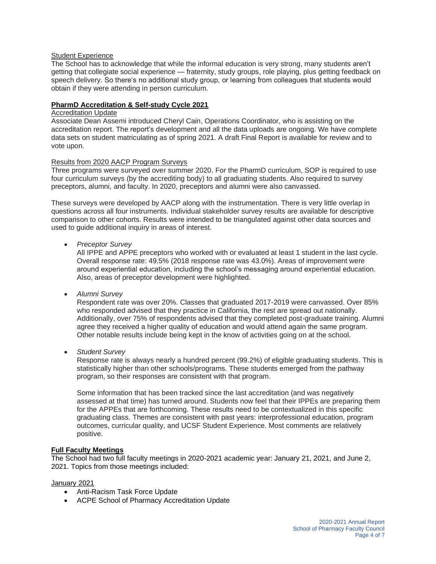### Student Experience

The School has to acknowledge that while the informal education is very strong, many students aren't getting that collegiate social experience — fraternity, study groups, role playing, plus getting feedback on speech delivery. So there's no additional study group, or learning from colleagues that students would obtain if they were attending in person curriculum.

### **PharmD Accreditation & Self-study Cycle 2021**

## Accreditation Update

Associate Dean Assemi introduced Cheryl Cain, Operations Coordinator, who is assisting on the accreditation report. The report's development and all the data uploads are ongoing. We have complete data sets on student matriculating as of spring 2021. A draft Final Report is available for review and to vote upon.

#### Results from 2020 AACP Program Surveys

Three programs were surveyed over summer 2020. For the PharmD curriculum, SOP is required to use four curriculum surveys (by the accrediting body) to all graduating students. Also required to survey preceptors, alumni, and faculty. In 2020, preceptors and alumni were also canvassed.

These surveys were developed by AACP along with the instrumentation. There is very little overlap in questions across all four instruments. Individual stakeholder survey results are available for descriptive comparison to other cohorts. Results were intended to be triangulated against other data sources and used to guide additional inquiry in areas of interest.

• *Preceptor Survey*

All IPPE and APPE preceptors who worked with or evaluated at least 1 student in the last cycle. Overall response rate: 49.5% (2018 response rate was 43.0%). Areas of improvement were around experiential education, including the school's messaging around experiential education. Also, areas of preceptor development were highlighted.

• *Alumni Survey*

Respondent rate was over 20%. Classes that graduated 2017-2019 were canvassed. Over 85% who responded advised that they practice in California, the rest are spread out nationally. Additionally, over 75% of respondents advised that they completed post-graduate training. Alumni agree they received a higher quality of education and would attend again the same program. Other notable results include being kept in the know of activities going on at the school.

• *Student Survey*

Response rate is always nearly a hundred percent (99.2%) of eligible graduating students. This is statistically higher than other schools/programs. These students emerged from the pathway program, so their responses are consistent with that program.

Some information that has been tracked since the last accreditation (and was negatively assessed at that time) has turned around. Students now feel that their IPPEs are preparing them for the APPEs that are forthcoming. These results need to be contextualized in this specific graduating class. Themes are consistent with past years: interprofessional education, program outcomes, curricular quality, and UCSF Student Experience. Most comments are relatively positive.

### **Full Faculty Meetings**

The School had two full faculty meetings in 2020-2021 academic year: January 21, 2021, and June 2, 2021. Topics from those meetings included:

### January 2021

- Anti-Racism Task Force Update
- ACPE School of Pharmacy Accreditation Update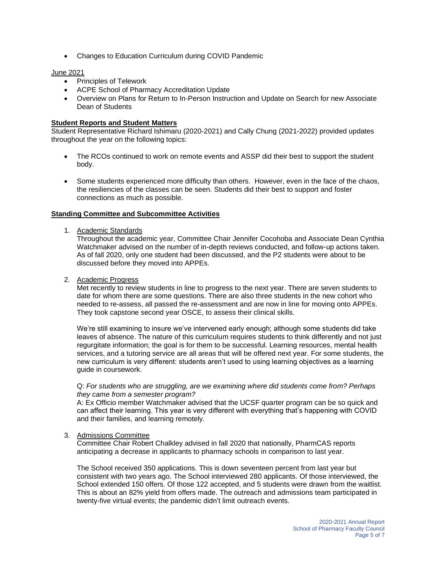• Changes to Education Curriculum during COVID Pandemic

### June 2021

- Principles of Telework
- ACPE School of Pharmacy Accreditation Update
- Overview on Plans for Return to In-Person Instruction and Update on Search for new Associate Dean of Students

### **Student Reports and Student Matters**

Student Representative Richard Ishimaru (2020-2021) and Cally Chung (2021-2022) provided updates throughout the year on the following topics:

- The RCOs continued to work on remote events and ASSP did their best to support the student body.
- Some students experienced more difficulty than others. However, even in the face of the chaos, the resiliencies of the classes can be seen. Students did their best to support and foster connections as much as possible.

#### **Standing Committee and Subcommittee Activities**

#### 1. Academic Standards

Throughout the academic year, Committee Chair Jennifer Cocohoba and Associate Dean Cynthia Watchmaker advised on the number of in-depth reviews conducted, and follow-up actions taken. As of fall 2020, only one student had been discussed, and the P2 students were about to be discussed before they moved into APPEs.

#### 2. Academic Progress

Met recently to review students in line to progress to the next year. There are seven students to date for whom there are some questions. There are also three students in the new cohort who needed to re-assess, all passed the re-assessment and are now in line for moving onto APPEs. They took capstone second year OSCE, to assess their clinical skills.

We're still examining to insure we've intervened early enough; although some students did take leaves of absence. The nature of this curriculum requires students to think differently and not just regurgitate information; the goal is for them to be successful. Learning resources, mental health services, and a tutoring service are all areas that will be offered next year. For some students, the new curriculum is very different: students aren't used to using learning objectives as a learning guide in coursework.

### Q: *For students who are struggling, are we examining where did students come from? Perhaps they came from a semester program?*

A: Ex Officio member Watchmaker advised that the UCSF quarter program can be so quick and can affect their learning. This year is very different with everything that's happening with COVID and their families, and learning remotely.

### 3. Admissions Committee

Committee Chair Robert Chalkley advised in fall 2020 that nationally, PharmCAS reports anticipating a decrease in applicants to pharmacy schools in comparison to last year.

The School received 350 applications. This is down seventeen percent from last year but consistent with two years ago. The School interviewed 280 applicants. Of those interviewed, the School extended 150 offers. Of those 122 accepted, and 5 students were drawn from the waitlist. This is about an 82% yield from offers made. The outreach and admissions team participated in twenty-five virtual events; the pandemic didn't limit outreach events.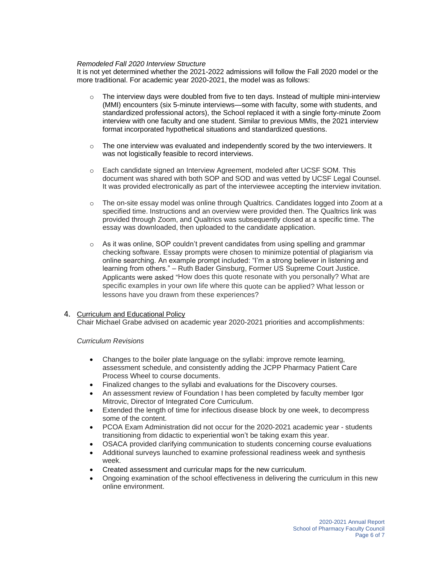## *Remodeled Fall 2020 Interview Structure*

It is not yet determined whether the 2021-2022 admissions will follow the Fall 2020 model or the more traditional. For academic year 2020-2021, the model was as follows:

- $\circ$  The interview days were doubled from five to ten days. Instead of multiple mini-interview (MMI) encounters (six 5-minute interviews—some with faculty, some with students, and standardized professional actors), the School replaced it with a single forty-minute Zoom interview with one faculty and one student. Similar to previous MMIs, the 2021 interview format incorporated hypothetical situations and standardized questions.
- $\circ$  The one interview was evaluated and independently scored by the two interviewers. It was not logistically feasible to record interviews.
- o Each candidate signed an Interview Agreement, modeled after UCSF SOM. This document was shared with both SOP and SOD and was vetted by UCSF Legal Counsel. It was provided electronically as part of the interviewee accepting the interview invitation.
- o The on-site essay model was online through Qualtrics. Candidates logged into Zoom at a specified time. Instructions and an overview were provided then. The Qualtrics link was provided through Zoom, and Qualtrics was subsequently closed at a specific time. The essay was downloaded, then uploaded to the candidate application.
- $\circ$  As it was online, SOP couldn't prevent candidates from using spelling and grammar checking software. Essay prompts were chosen to minimize potential of plagiarism via online searching. An example prompt included: "I'm a strong believer in listening and learning from others." – Ruth Bader Ginsburg, Former US Supreme Court Justice. Applicants were asked "How does this quote resonate with you personally? What are specific examples in your own life where this quote can be applied? What lesson or lessons have you drawn from these experiences?

#### 4. Curriculum and Educational Policy Chair Michael Grabe advised on academic year 2020-2021 priorities and accomplishments:

### *Curriculum Revisions*

- Changes to the boiler plate language on the syllabi: improve remote learning, assessment schedule, and consistently adding the JCPP Pharmacy Patient Care Process Wheel to course documents.
- Finalized changes to the syllabi and evaluations for the Discovery courses.
- An assessment review of Foundation I has been completed by faculty member Igor Mitrovic, Director of Integrated Core Curriculum.
- Extended the length of time for infectious disease block by one week, to decompress some of the content.
- PCOA Exam Administration did not occur for the 2020-2021 academic year students transitioning from didactic to experiential won't be taking exam this year.
- OSACA provided clarifying communication to students concerning course evaluations
- Additional surveys launched to examine professional readiness week and synthesis week.
- Created assessment and curricular maps for the new curriculum.
- Ongoing examination of the school effectiveness in delivering the curriculum in this new online environment.